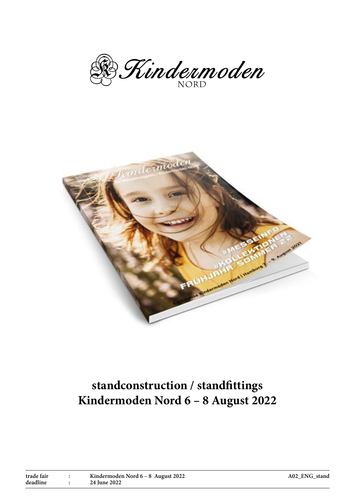B. Kindermoden



# **standconstruction / standfittings Kindermoden Nord 6 – 8 August 2022**

| trade fair | Kindermoden Nord 6 – 8 August 2022 |
|------------|------------------------------------|
| deadline   | <b>24 June 2022</b>                |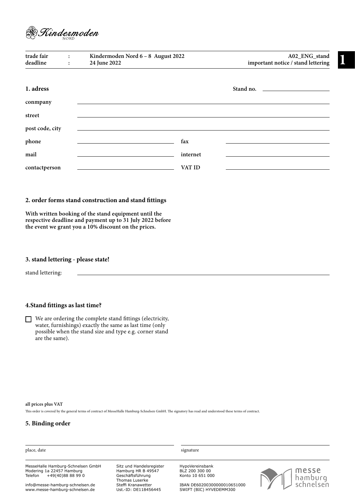

| trade fair<br>$\ddot{\cdot}$<br>deadline<br>$\ddot{\cdot}$ |  | Kindermoden Nord 6 - 8 August 2022<br>24 June 2022 | A02_ENG_stand<br>important notice / stand lettering |                                                 |  |
|------------------------------------------------------------|--|----------------------------------------------------|-----------------------------------------------------|-------------------------------------------------|--|
| 1. adress                                                  |  |                                                    |                                                     | Stand no. <u>______________________________</u> |  |
| conmpany                                                   |  |                                                    |                                                     |                                                 |  |
| street                                                     |  |                                                    |                                                     |                                                 |  |
| post code, city                                            |  |                                                    |                                                     |                                                 |  |
| phone                                                      |  | <u> 1989 - Johann John Stein, markin santa a</u>   | fax                                                 |                                                 |  |
| mail                                                       |  |                                                    | internet                                            |                                                 |  |
| contactperson                                              |  |                                                    | VAT ID                                              |                                                 |  |

#### **2. order forms stand construction and stand fittings**

**With written booking of the stand equipment until the respective deadline and payment up to 31 July 2022 before the event we grant you a 10% discount on the prices.**

## **3. stand lettering - please state!**

stand lettering:

## **4.Stand fittings as last time?**

 $\hfill\Box$  <br> We are ordering the complete stand fittings (electricity, water, furnishings) exactly the same as last time (only possible when the stand size and type e.g. corner stand are the same).

#### **all prices plus VAT**

This order is covered by the general terms of contract of MesseHalle Hamburg-Schnelsen GmbH. The signatory has read and understood these terms of contract.

| place, date                                                                                    |                                                                                      | signature                                              |                      |  |  |
|------------------------------------------------------------------------------------------------|--------------------------------------------------------------------------------------|--------------------------------------------------------|----------------------|--|--|
| MesseHalle Hamburg-Schnelsen GmbH<br>Modering 1a 22457 Hamburg<br>+49(40)88 88 99 0<br>Telefon | Sitz und Handelsregister<br>Hamburg HR B 49547<br>Geschäftsführung<br>Thomas Luserke | HypoVereinsbank<br>BLZ 200 300 00<br>Konto 10 651 000  | messe                |  |  |
| info@messe-hamburg-schnelsen.de<br>www.messe-hamburg-schnelsen.de                              | Steffi Kranawetter<br>Ust.-ID: DE118456445                                           | IBAN DE60200300000010651000<br>SWIFT (BIC) HYVEDEMM300 | hamburg<br>schnelsen |  |  |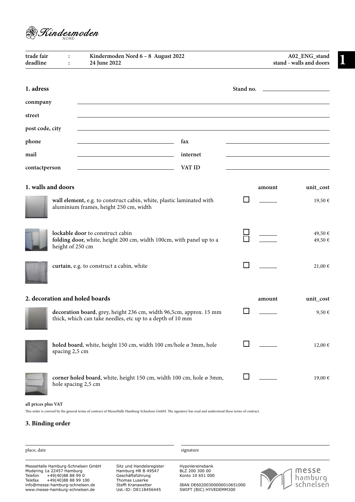

| trade fair<br>$\ddot{\cdot}$<br>deadline<br>$\ddot{\cdot}$ | Kindermoden Nord 6 - 8 August 2022<br>24 June 2022                                                                              |          | stand - walls and doors |        | A02_ENG_stand                                                   |
|------------------------------------------------------------|---------------------------------------------------------------------------------------------------------------------------------|----------|-------------------------|--------|-----------------------------------------------------------------|
| 1. adress                                                  |                                                                                                                                 |          | Stand no.               |        | the contract of the contract of the contract of the contract of |
| conmpany                                                   |                                                                                                                                 |          |                         |        |                                                                 |
| street                                                     |                                                                                                                                 |          |                         |        |                                                                 |
| post code, city                                            |                                                                                                                                 |          |                         |        |                                                                 |
| phone                                                      | fax                                                                                                                             |          |                         |        |                                                                 |
| mail                                                       |                                                                                                                                 | internet |                         |        |                                                                 |
| contactperson                                              | the control of the control of the control of the control of the control of                                                      | VAT ID   |                         |        |                                                                 |
| 1. walls and doors                                         |                                                                                                                                 |          |                         | amount | unit_cost                                                       |
|                                                            | wall element, e.g. to construct cabin, white, plastic laminated with<br>aluminium frames, height 250 cm, width                  |          | ΙI                      |        | 19,50 €                                                         |
| height of 250 cm                                           | lockable door to construct cabin<br>folding door, white, height 200 cm, width 100cm, with panel up to a                         |          |                         |        | 49,50€<br>49,50€                                                |
|                                                            | curtain, e.g. to construct a cabin, white                                                                                       |          | $\mathbf{I}$            |        | $21,00 \in$                                                     |
| 2. decoration and holed boards                             |                                                                                                                                 |          |                         | amount | unit_cost                                                       |
|                                                            | decoration board, grey, height 236 cm, width 96,5cm, approx. 15 mm<br>thick, which can take needles, etc up to a depth of 10 mm |          | $\mathbf{I}$            |        | 9,50€                                                           |
| spacing 2,5 cm                                             | holed board, white, height 150 cm, width 100 cm/hole ø 3mm, hole                                                                |          |                         |        | 12,00 €                                                         |
| hole spacing 2,5 cm                                        | corner holed board, white, height 150 cm, width 100 cm, hole ø 3mm,                                                             |          |                         |        | 19,00€                                                          |

**all prices plus VAT** 

This order is covered by the general terms of contract of MesseHalle Hamburg-Schnelsen GmbH. The signatory has read and understood these terms of contract.

| place, date                                                                                                                      |                                                                                      | signature                                              |                  |
|----------------------------------------------------------------------------------------------------------------------------------|--------------------------------------------------------------------------------------|--------------------------------------------------------|------------------|
| MesseHalle Hamburg-Schnelsen GmbH<br>Modering 1a 22457 Hamburg<br>Telefon<br>+49(40)88 88 99 0<br>Telefax<br>+49(40)88 88 99 100 | Sitz und Handelsregister<br>Hamburg HR B 49547<br>Geschäftsführung<br>Thomas Luserke | HypoVereinsbank<br>BLZ 200 300 00<br>Konto 10 651 000  | messe<br>hamburg |
| info@messe-hamburg-schnelsen.de<br>www.messe-hamburg-schnelsen.de                                                                | Steffi Kranawetter<br>Ust.-ID: DE118456445                                           | IBAN DE60200300000010651000<br>SWIFT (BIC) HYVEDEMM300 | schnelsen        |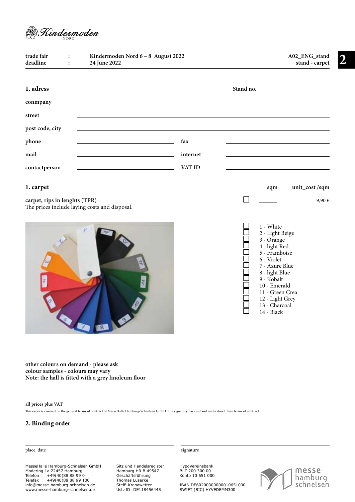

| trade fair<br>$\ddot{\cdot}$<br>deadline<br>$\ddot{\cdot}$ | Kindermoden Nord 6 - 8 August 2022<br>24 June 2022         |          |     | A02_ENG_stand<br>stand - carpet |
|------------------------------------------------------------|------------------------------------------------------------|----------|-----|---------------------------------|
| 1. adress                                                  |                                                            |          |     |                                 |
| conmpany                                                   |                                                            |          |     |                                 |
| street                                                     |                                                            |          |     |                                 |
| post code, city                                            |                                                            |          |     |                                 |
| phone                                                      |                                                            | fax      |     |                                 |
| mail                                                       |                                                            | internet |     |                                 |
| contactperson                                              | <u> 1980 - Johann Barbara, martxa alemaniar amerikan a</u> | VAT ID   |     |                                 |
| 1. carpet                                                  |                                                            |          | sqm | unit_cost/sqm                   |
| carpet, rips in lenghts (TPR)                              | The prices include laying costs and disposal.              |          |     | 9,90€                           |



| 1 - White       |
|-----------------|
| 2 - Light Beige |
| 3 - Orange      |
| 4 - light Red   |
| 5 - Framboise   |
| 6 - Violet      |
| 7 - Azure Blue  |
| 8 - light Blue  |
| 9 - Kobalt      |
| 10 - Emerald    |
| 11 - Green Crea |
| 12 - Light Grey |
| 13 - Charcoal   |
| 14 - Black      |

**other colours on demand - please ask colour samples - colours may vary Note: the hall is fitted with a grey linoleum floor**

#### **all prices plus VAT**

This order is covered by the general terms of contract of MesseHalle Hamburg-Schnelsen GmbH. The signatory has read and understood these terms of contract.

#### **2. Binding order**

#### place, date signature

MesseHalle Hamburg-Schnelsen GmbH Modering 1a 22457 Hamburg Telefon +49(40)88 88 99 0 Telefax +49(40)88 88 99 100 info@messe-hamburg-schnelsen.de www.messe-hamburg-schnelsen.de

Sitz und Handelsregister Hamburg HR B 49547 Geschäftsführung Thomas Luserke Steffi Kranawetter Ust.-ID: DE118456445

HypoVereinsbank BLZ 200 300 00 Konto 10 651 000

IBAN DE60200300000010651000 SWIFT (BIC) HYVEDEMM300

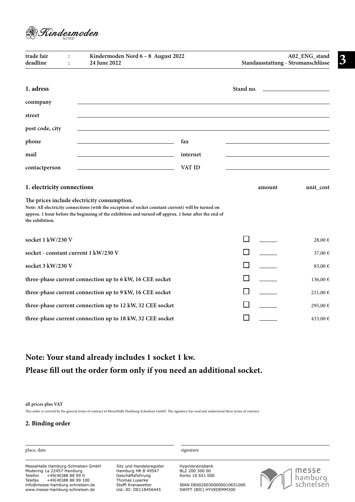

| trade fair<br>deadline                                         | Kindermoden Nord 6 - 8 August 2022<br>24 June 2022                                                                                                                                                          |          |           | A02_ENG_stand<br>Standausstattung - Stromanschlüsse                                                                  |
|----------------------------------------------------------------|-------------------------------------------------------------------------------------------------------------------------------------------------------------------------------------------------------------|----------|-----------|----------------------------------------------------------------------------------------------------------------------|
| 1. adress                                                      |                                                                                                                                                                                                             |          | Stand no. | <u> Alexandria de la contrada de la contrada de la contrada de la contrada de la contrada de la contrada de la c</u> |
| conmpany                                                       |                                                                                                                                                                                                             |          |           |                                                                                                                      |
| street                                                         |                                                                                                                                                                                                             |          |           |                                                                                                                      |
| post code, city                                                |                                                                                                                                                                                                             |          |           |                                                                                                                      |
| phone                                                          |                                                                                                                                                                                                             | fax      |           |                                                                                                                      |
| mail                                                           |                                                                                                                                                                                                             | internet |           |                                                                                                                      |
| contactperson                                                  |                                                                                                                                                                                                             | VAT ID   |           |                                                                                                                      |
| 1. electricity connections                                     |                                                                                                                                                                                                             |          | amount    | unit_cost                                                                                                            |
| The prices include electricity consumption.<br>the exhibition. | Note: All electricity connections (with the exception of socket constant current) will be turned on<br>approx. 1 hour before the beginning of the exhibition and turned off approx. 1 hour after the end of |          |           |                                                                                                                      |
| socket 1 kW/230 V                                              |                                                                                                                                                                                                             |          |           | 28,00 €                                                                                                              |
| socket - constant current 1 kW/230 V                           |                                                                                                                                                                                                             |          |           | 37,00 €                                                                                                              |
| socket 3 kW/230 V                                              |                                                                                                                                                                                                             |          |           | 83,00 €                                                                                                              |
|                                                                | three-phase current connection up to 6 kW, 16 CEE socket                                                                                                                                                    |          |           | 136,00 €                                                                                                             |
|                                                                | three-phase current connection up to 9 kW, 16 CEE socket                                                                                                                                                    |          |           | 211,00 €                                                                                                             |
|                                                                | three-phase current connection up to 12 kW, 32 CEE socket                                                                                                                                                   |          |           | 295,00€                                                                                                              |
|                                                                | three-phase current connection up to 18 kW, 32 CEE socket                                                                                                                                                   |          |           | 433,00 €                                                                                                             |

## **Note: Your stand already includes 1 socket 1 kw. Please fill out the order form only if you need an additional socket.**

**all prices plus VAT** 

This order is covered by the general terms of contract of MesseHalle Hamburg-Schnelsen GmbH. The signatory has read and understood these terms of contract.

| place, date                                                                                                                                                                                           |                                                                                                                                    | signature                                                                                                       |                               |
|-------------------------------------------------------------------------------------------------------------------------------------------------------------------------------------------------------|------------------------------------------------------------------------------------------------------------------------------------|-----------------------------------------------------------------------------------------------------------------|-------------------------------|
| MesseHalle Hamburg-Schnelsen GmbH<br>Modering 1a 22457 Hamburg<br>+49(40)88 88 99 0<br>Telefon<br>Telefax<br>+49(40)88 88 99 100<br>info@messe-hamburg-schnelsen.de<br>www.messe-hamburg-schnelsen.de | Sitz und Handelsregister<br>Hamburg HR B 49547<br>Geschäftsführung<br>Thomas Luserke<br>Steffi Kranawetter<br>Ust.-ID: DE118456445 | HypoVereinsbank<br>BLZ 200 300 00<br>Konto 10 651 000<br>IBAN DE60200300000010651000<br>SWIFT (BIC) HYVEDEMM300 | messe<br>hamburg<br>schnelsen |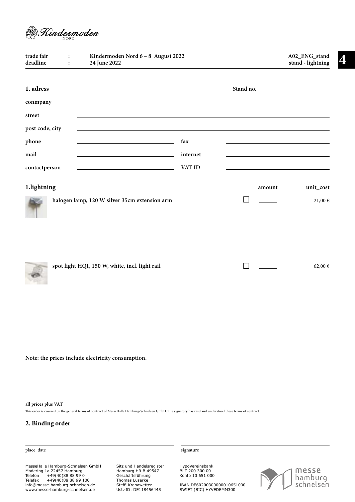

| trade fair<br>deadline | $\cdot$<br>$\ddot{\cdot}$ | Kindermoden Nord 6 - 8 August 2022<br>24 June 2022                         |          |                | A02_ENG_stand<br>stand - lightning |
|------------------------|---------------------------|----------------------------------------------------------------------------|----------|----------------|------------------------------------|
| 1. adress              |                           |                                                                            |          |                |                                    |
| conmpany               |                           |                                                                            |          |                |                                    |
| street                 |                           |                                                                            |          |                |                                    |
| post code, city        |                           |                                                                            |          |                |                                    |
| phone                  |                           |                                                                            | fax      |                |                                    |
| mail                   |                           | the control of the control of the control of the control of the control of | internet |                |                                    |
| contactperson          |                           | <u> 1989 - Johann Barn, amerikansk politiker (</u>                         | VAT ID   |                |                                    |
| 1.lightning            |                           |                                                                            |          | amount         | unit_cost                          |
|                        |                           | halogen lamp, 120 W silver 35cm extension arm                              |          |                | 21,00 €                            |
|                        |                           | spot light HQI, 150 W, white, incl. light rail                             |          | $\blacksquare$ | 62,00€                             |

**Note: the prices include electricity consumption.**

**all prices plus VAT** 

This order is covered by the general terms of contract of MesseHalle Hamburg-Schnelsen GmbH. The signatory has read and understood these terms of contract.

| place, date                                                                                         |                                                                    |                                                        |                      |
|-----------------------------------------------------------------------------------------------------|--------------------------------------------------------------------|--------------------------------------------------------|----------------------|
|                                                                                                     |                                                                    | signature                                              |                      |
| MesseHalle Hamburg-Schnelsen GmbH<br>Modering 1a 22457 Hamburg<br>Telefon<br>+49(40)88 88 99 0      | Sitz und Handelsregister<br>Hamburg HR B 49547<br>Geschäftsführung | HypoVereinsbank<br>BLZ 200 300 00<br>Konto 10 651 000  | messe                |
| Telefax<br>+49(40)88 88 99 100<br>info@messe-hamburg-schnelsen.de<br>www.messe-hamburg-schnelsen.de | Thomas Luserke<br>Steffi Kranawetter<br>Ust.-ID: DE118456445       | IBAN DE60200300000010651000<br>SWIFT (BIC) HYVEDEMM300 | hamburg<br>schnelsen |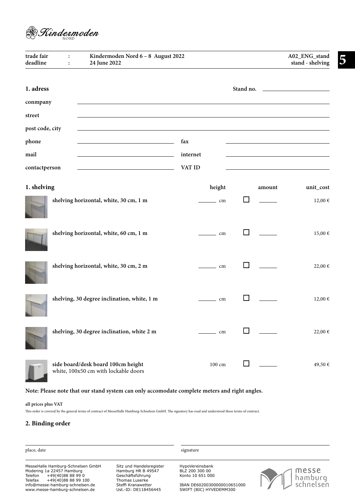

| trade fair<br>deadline | Kindermoden Nord 6 - 8 August 2022<br>$\ddot{\cdot}$<br>24 June 2022<br>$\ddot{\cdot}$ |             |        | A02_ENG_stand<br>stand - shelving |
|------------------------|----------------------------------------------------------------------------------------|-------------|--------|-----------------------------------|
| 1. adress              |                                                                                        |             |        |                                   |
| conmpany               |                                                                                        |             |        |                                   |
| street                 |                                                                                        |             |        |                                   |
| post code, city        |                                                                                        |             |        |                                   |
| phone                  |                                                                                        | fax         |        |                                   |
| mail                   |                                                                                        | internet    |        |                                   |
| contactperson          |                                                                                        | VAT ID      |        |                                   |
| 1. shelving            |                                                                                        | height      | amount | unit_cost                         |
|                        | shelving horizontal, white, 30 cm, 1 m                                                 | $\equiv$ cm |        | $12{,}00$ €                       |
|                        | shelving horizontal, white, 60 cm, 1 m                                                 | $\equiv$ cm |        | $15,00 \in$                       |
|                        | shelving horizontal, white, 30 cm, 2 m                                                 | $\equiv$ cm |        | 22,00 €                           |
|                        | shelving, 30 degree inclination, white, 1 m                                            | cm          |        | $12,00 \in$                       |
|                        | shelving, 30 degree inclination, white 2 m                                             | - cm        |        | 22,00€                            |
|                        | side board/desk board 100cm height<br>white, 100x50 cm with lockable doors             | 100 cm      |        | 49,50€                            |

## **Note: Please note that our stand system can only accomodate complete meters and right angles.**

## **all prices plus VAT**

This order is covered by the general terms of contract of MesseHalle Hamburg-Schnelsen GmbH. The signatory has read and understood these terms of contract.

| place, date                                                                                                                                                                                           |                                                                                                                                    | signature                                                                                                       |                               |  |  |  |
|-------------------------------------------------------------------------------------------------------------------------------------------------------------------------------------------------------|------------------------------------------------------------------------------------------------------------------------------------|-----------------------------------------------------------------------------------------------------------------|-------------------------------|--|--|--|
| MesseHalle Hamburg-Schnelsen GmbH<br>Modering 1a 22457 Hamburg<br>Telefon<br>+49(40)88 88 99 0<br>Telefax<br>+49(40)88 88 99 100<br>info@messe-hamburg-schnelsen.de<br>www.messe-hamburg-schnelsen.de | Sitz und Handelsregister<br>Hamburg HR B 49547<br>Geschäftsführung<br>Thomas Luserke<br>Steffi Kranawetter<br>Ust.-ID: DE118456445 | HypoVereinsbank<br>BLZ 200 300 00<br>Konto 10 651 000<br>IBAN DE60200300000010651000<br>SWIFT (BIC) HYVEDEMM300 | messe<br>hamburg<br>schnelsen |  |  |  |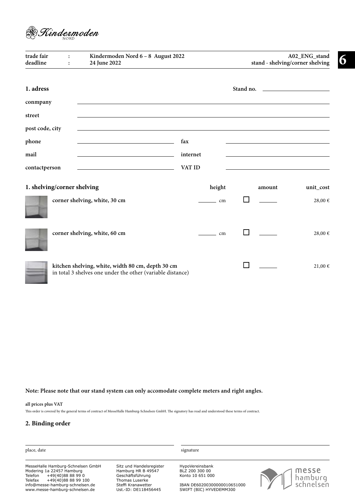

| trade fair<br>deadline | $\ddot{\cdot}$<br>$\cdot$   | Kindermoden Nord 6 - 8 August 2022<br>24 June 2022                                                                    |          |             |  | A02_ENG_stand<br>stand - shelving/corner shelving |             |  |  |
|------------------------|-----------------------------|-----------------------------------------------------------------------------------------------------------------------|----------|-------------|--|---------------------------------------------------|-------------|--|--|
| 1. adress<br>conmpany  |                             |                                                                                                                       |          |             |  |                                                   |             |  |  |
| street                 |                             |                                                                                                                       |          |             |  |                                                   |             |  |  |
| post code, city        |                             |                                                                                                                       |          |             |  |                                                   |             |  |  |
| phone                  |                             |                                                                                                                       | fax      |             |  |                                                   |             |  |  |
| mail                   |                             | <u> 1989 - Johann Barn, mars ann an t-Amhain an t-Amhain an t-Amhain an t-Amhain an t-Amhain an t-Amhain an t-Amh</u> | internet |             |  |                                                   |             |  |  |
| contactperson          |                             | the control of the control of the control of the control of the control of the control of                             | VAT ID   |             |  |                                                   |             |  |  |
|                        | 1. shelving/corner shelving |                                                                                                                       |          | height      |  | amount                                            | unit_cost   |  |  |
|                        |                             | corner shelving, white, 30 cm                                                                                         |          | $\equiv$ cm |  |                                                   | 28,00€      |  |  |
|                        |                             | corner shelving, white, 60 cm                                                                                         |          | $\equiv$ cm |  |                                                   | 28,00 €     |  |  |
|                        |                             | kitchen shelving, white, width 80 cm, depth 30 cm<br>in total 3 shelves one under the other (variable distance)       |          |             |  |                                                   | $21,00 \in$ |  |  |

**Note: Please note that our stand system can only accomodate complete meters and right angles.**

## **all prices plus VAT**

This order is covered by the general terms of contract of MesseHalle Hamburg-Schnelsen GmbH. The signatory has read and understood these terms of contract.

| place, date                                                                                         |                                                                    | signature                                              |                  |
|-----------------------------------------------------------------------------------------------------|--------------------------------------------------------------------|--------------------------------------------------------|------------------|
| MesseHalle Hamburg-Schnelsen GmbH<br>Modering 1a 22457 Hamburg<br>Telefon<br>+49(40)88 88 99 0      | Sitz und Handelsregister<br>Hamburg HR B 49547<br>Geschäftsführung | HypoVereinsbank<br>BLZ 200 300 00<br>Konto 10 651 000  | messe<br>hamburg |
| Telefax<br>+49(40)88 88 99 100<br>info@messe-hamburg-schnelsen.de<br>www.messe-hamburg-schnelsen.de | Thomas Luserke<br>Steffi Kranawetter<br>Ust.-ID: DE118456445       | IBAN DE60200300000010651000<br>SWIFT (BIC) HYVEDEMM300 | schnelsen        |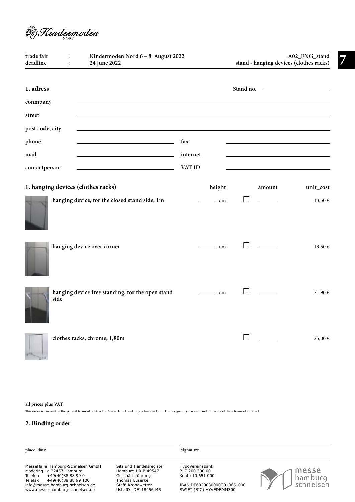

| trade fair<br>deadline | Kindermoden Nord 6 - 8 August 2022<br>$\ddot{\cdot}$<br>24 June 2022<br>$\ddot{\cdot}$ |                                                                                                                                                                                                                                                                                                                                                                                                                      |                | A02_ENG_stand<br>stand - hanging devices (clothes racks) |           |  |
|------------------------|----------------------------------------------------------------------------------------|----------------------------------------------------------------------------------------------------------------------------------------------------------------------------------------------------------------------------------------------------------------------------------------------------------------------------------------------------------------------------------------------------------------------|----------------|----------------------------------------------------------|-----------|--|
| 1. adress              |                                                                                        |                                                                                                                                                                                                                                                                                                                                                                                                                      |                |                                                          |           |  |
| conmpany               |                                                                                        |                                                                                                                                                                                                                                                                                                                                                                                                                      |                |                                                          |           |  |
| street                 |                                                                                        |                                                                                                                                                                                                                                                                                                                                                                                                                      |                |                                                          |           |  |
| post code, city        |                                                                                        |                                                                                                                                                                                                                                                                                                                                                                                                                      |                |                                                          |           |  |
| phone                  |                                                                                        | fax                                                                                                                                                                                                                                                                                                                                                                                                                  |                |                                                          |           |  |
| mail                   | the control of the control of the control of the control of                            | internet                                                                                                                                                                                                                                                                                                                                                                                                             |                |                                                          |           |  |
| contactperson          |                                                                                        | VAT ID                                                                                                                                                                                                                                                                                                                                                                                                               |                |                                                          |           |  |
|                        | 1. hanging devices (clothes racks)                                                     | height                                                                                                                                                                                                                                                                                                                                                                                                               |                | amount                                                   | unit_cost |  |
|                        | hanging device, for the closed stand side, 1m                                          | $\equiv$ cm                                                                                                                                                                                                                                                                                                                                                                                                          | $\mathbb{R}^n$ |                                                          | 13,50 €   |  |
|                        | hanging device over corner                                                             | $\equiv$ cm                                                                                                                                                                                                                                                                                                                                                                                                          | ΙI             |                                                          | 13,50 €   |  |
|                        | hanging device free standing, for the open stand<br>side                               | $\frac{1}{\sqrt{1-\frac{1}{2}}\sqrt{1-\frac{1}{2}}\sqrt{1-\frac{1}{2}}\sqrt{1-\frac{1}{2}}\sqrt{1-\frac{1}{2}}\sqrt{1-\frac{1}{2}}\sqrt{1-\frac{1}{2}}\sqrt{1-\frac{1}{2}}\sqrt{1-\frac{1}{2}}\sqrt{1-\frac{1}{2}}\sqrt{1-\frac{1}{2}}\sqrt{1-\frac{1}{2}}\sqrt{1-\frac{1}{2}}\sqrt{1-\frac{1}{2}}\sqrt{1-\frac{1}{2}}\sqrt{1-\frac{1}{2}}\sqrt{1-\frac{1}{2}}\sqrt{1-\frac{1}{2}}\sqrt{1-\frac{1}{2}}\sqrt{1-\frac$ | H              |                                                          | 21,90 €   |  |
|                        | clothes racks, chrome, 1,80m                                                           |                                                                                                                                                                                                                                                                                                                                                                                                                      |                |                                                          | 25,00 €   |  |

## **all prices plus VAT**

This order is covered by the general terms of contract of MesseHalle Hamburg-Schnelsen GmbH. The signatory has read and understood these terms of contract.

| place, date                                                                                                                                                                                           |                                                                                                                                    | signature                                                                                                       |                               |
|-------------------------------------------------------------------------------------------------------------------------------------------------------------------------------------------------------|------------------------------------------------------------------------------------------------------------------------------------|-----------------------------------------------------------------------------------------------------------------|-------------------------------|
| MesseHalle Hamburg-Schnelsen GmbH<br>Modering 1a 22457 Hamburg<br>Telefon<br>+49(40)88 88 99 0<br>Telefax<br>+49(40)88 88 99 100<br>info@messe-hamburg-schnelsen.de<br>www.messe-hamburg-schnelsen.de | Sitz und Handelsregister<br>Hamburg HR B 49547<br>Geschäftsführung<br>Thomas Luserke<br>Steffi Kranawetter<br>Ust.-ID: DE118456445 | HypoVereinsbank<br>BLZ 200 300 00<br>Konto 10 651 000<br>IBAN DE60200300000010651000<br>SWIFT (BIC) HYVEDEMM300 | messe<br>hamburg<br>schnelsen |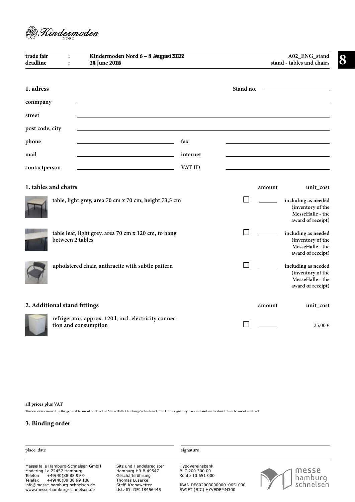

| trade fair<br>deadline | $\ddot{\cdot}$<br>$\ddot{\cdot}$ | Kindermoden Nord 6 - 8 Augustt 2002<br><b>20 June 2028</b>                     |          |                |        | A02_ENG_stand<br>8<br>stand - tables and chairs                                   |
|------------------------|----------------------------------|--------------------------------------------------------------------------------|----------|----------------|--------|-----------------------------------------------------------------------------------|
| 1. adress              |                                  |                                                                                |          | Stand no.      |        |                                                                                   |
| conmpany               |                                  |                                                                                |          |                |        |                                                                                   |
| street                 |                                  |                                                                                |          |                |        |                                                                                   |
| post code, city        |                                  |                                                                                |          |                |        |                                                                                   |
| phone                  |                                  |                                                                                | fax      |                |        |                                                                                   |
| mail                   |                                  |                                                                                | internet |                |        |                                                                                   |
| contactperson          |                                  |                                                                                | VAT ID   |                |        |                                                                                   |
|                        | 1. tables and chairs             |                                                                                |          |                | amount | unit_cost                                                                         |
|                        |                                  | table, light grey, area 70 cm x 70 cm, height 73,5 cm                          |          | $\blacksquare$ |        | including as needed<br>(inventory of the<br>MesseHalle - the<br>award of receipt) |
|                        | between 2 tables                 | table leaf, light grey, area 70 cm x 120 cm, to hang                           |          | l 1            |        | including as needed<br>(inventory of the<br>MesseHalle - the<br>award of receipt) |
|                        |                                  | upholstered chair, anthracite with subtle pattern                              |          |                |        | including as needed<br>(inventory of the<br>MesseHalle - the<br>award of receipt) |
|                        | 2. Additional stand fittings     |                                                                                |          |                | amount | unit_cost                                                                         |
|                        |                                  | refrigerator, approx. 120 l, incl. electricity connec-<br>tion and consumption |          |                |        | 25,00 €                                                                           |

#### **all prices plus VAT**

This order is covered by the general terms of contract of MesseHalle Hamburg-Schnelsen GmbH. The signatory has read and understood these terms of contract.

| place, date                                                                                                                      |                                                                                      | signature                                              |                  |
|----------------------------------------------------------------------------------------------------------------------------------|--------------------------------------------------------------------------------------|--------------------------------------------------------|------------------|
| MesseHalle Hamburg-Schnelsen GmbH<br>Modering 1a 22457 Hamburg<br>Telefon<br>+49(40)88 88 99 0<br>Telefax<br>+49(40)88 88 99 100 | Sitz und Handelsregister<br>Hamburg HR B 49547<br>Geschäftsführung<br>Thomas Luserke | HypoVereinsbank<br>BLZ 200 300 00<br>Konto 10 651 000  | messe<br>hamburg |
| info@messe-hamburg-schnelsen.de<br>www.messe-hamburg-schnelsen.de                                                                | Steffi Kranawetter<br>Ust.-ID: DE118456445                                           | IBAN DE60200300000010651000<br>SWIFT (BIC) HYVEDEMM300 | schnelsen        |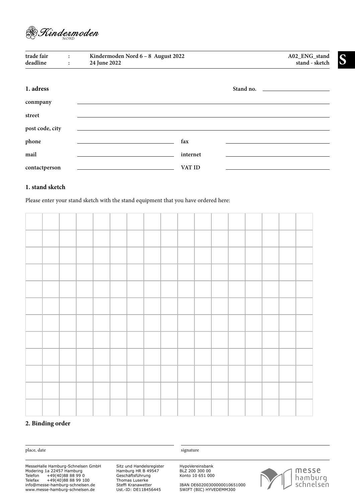

| trade fair<br>deadline | $\ddot{\cdot}$<br>$\ddot{\cdot}$ | Kindermoden Nord 6 - 8 August 2022<br>24 June 2022 |          | A02_ENG_stand<br>stand - sketch |
|------------------------|----------------------------------|----------------------------------------------------|----------|---------------------------------|
| 1. adress              |                                  |                                                    |          |                                 |
| conmpany               |                                  |                                                    |          |                                 |
| street                 |                                  |                                                    |          |                                 |
| post code, city        |                                  |                                                    |          |                                 |
| phone                  |                                  |                                                    | fax      |                                 |
| mail                   |                                  |                                                    | internet |                                 |
| contactperson          |                                  |                                                    | VAT ID   |                                 |

## **1. stand sketch**

Please enter your stand sketch with the stand equipment that you have ordered here:

## **2. Binding order**

place, date signature

MesseHalle Hamburg-Schnelsen GmbH Modering 1a 22457 Hamburg Telefon +49(40)88 88 99 0 Telefax +49(40)88 88 99 100 info@messe-hamburg-schnelsen.de www.messe-hamburg-schnelsen.de

Sitz und Handelsregister Hamburg HR B 49547 Geschäftsführung Thomas Luserke Steffi Kranawetter Ust.-ID: DE118456445

HypoVereinsbank BLZ 200 300 00 Konto 10 651 000

IBAN DE60200300000010651000 SWIFT (BIC) HYVEDEMM300



**stand - sketch S**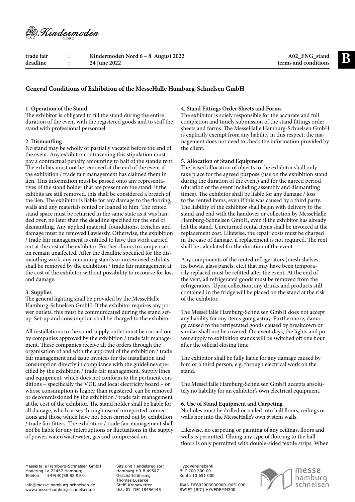

**terms and conditions B trade fair : Kindermoden Nord 6 – 8 August 2022 deadline : 24 June 2022**

**A02\_ENG\_stand**

## **General Conditions of Exhibition of the MesseHalle Hamburg-Schnelsen GmbH**

#### **1. Operation of the Stand**

The exhibitor is obligated to fill the stand during the entire duration of the event with the registered goods and to staff the stand with professional personnel.

#### **2. Dismantling**

No stand may be wholly or partially vacated before the end of the event. Any exhibitor contravening this stipulation must pay a contractual penalty amounting to half of the stand's rent. The exhibits must not be removed at the end of the event if the exhibition / trade fair management has claimed them in lien. This information must be passed onto any representatives of the stand holder that are present on the stand. If the exhibits are still removed, this shall be considered a breach of the lien. The exhibitor is liable for any damage to the flooring, walls and any materials rented or loaned to him. The rented stand space must be returned in the same state as it was handed over, no later than the deadline specified for the end of dismantling. Any applied material, foundations, trenches and damage must be removed flawlessly. Otherwise, the exhibition / trade fair management is entitled to have this work carried out at the cost of the exhibitor. Further claims to compensation remain unaffected. After the deadline specified for the dismantling work, any remaining stands or unremoved exhibits shall be removed by the exhibition / trade fair management at the cost of the exhibitor without possibility to recourse for loss and damage.

#### **3. Supplies**

The general lighting shall be provided by the MesseHalle Hamburg-Schnelsen GmbH. If the exhibitor requires any power outlets, this must be communicated during the stand setup. Set-up and consumption shall be charged to the exhibitor.

All installations to the stand supply outlet must be carried out by companies approved by the exhibition / trade fair management. These companies receive all the orders through the organisation of and with the approval of the exhibition / trade fair management and issue invoices for the installation and consumption directly in compliance with the guidelines specified by the exhibition / trade fair management. Supply lines and equipment, which does not conform to the pertinent conditions – specifically the VDE and local electricity board – or whose consumption is higher than registered, can be removed or decommissioned by the exhibition / trade fair management at the cost of the exhibitor. The stand holder shall be liable for all damage, which arises through use of unreported connections and those which have not been carried out by exhibition / trade fair fitters. The exhibition / trade fair management shall not be liable for any interruptions or fluctuations in the supply of power, water/wastewater, gas and compressed air.

#### **4. Stand Fittings Order Sheets and Forms**

The exhibitor is solely responsible for the accurate and full completion and timely submission of the stand fittings order sheets and forms. The MesseHalle Hamburg-Schnelsen GmbH is explicitly exempt from any liability in this respect; the management does not need to check the information provided by the client.

#### **5. Allocation of Stand Equipment**

The leased allocation of objects to the exhibitor shall only take place for the agreed purpose (use on the exhibition stand during the duration of the event) and for the agreed period (duration of the event including assembly and dismantling times). The exhibitor shall be liable for any damage / loss to the rented items, even if this was caused by a third party. The liability of the exhibitor shall begin with delivery to the stand and end with the handover or collection by MesseHalle Hamburg-Schnelsen GmbH, even if the exhibitor has already left the stand. Unreturned rental items shall be invoiced at the replacement cost. Likewise, the repair costs must be charged in the case of damage, if replacement is not required. The rent shall be calculated for the duration of the event.

Any components of the rented refrigerators (mesh shelves, ice bowls, glass panels, etc.) that may have been temporarily replaced must be refitted after the event. At the end of the vent, all refrigerated goods must be removed from the refrigerators. Upon collection, any drinks and products still contained in the fridge will be placed on the stand at the risk of the exhibitor.

The MesseHalle Hamburg-Schnelsen GmbH does not accept any liability for any items going astray. Furthermore, damage caused to the refrigerated goods caused by breakdown or similar shall not be covered. On event days, the lights and power supply to exhibition stands will be switched off one hour after the official closing time.

The exhibitor shall be fully liable for any damage caused by him or a third person, e.g. through electrical work on the stand.

The MesseHalle Hamburg-Schnelsen GmbH accepts absolutely no liability for an exhibitor's own electrical equipment.

#### **6. Use of Stand Equipment and Carpeting**

No holes must be drilled or nailed into hall floors, ceilings or walls nor into the MesseHalle's own system walls.

Likewise, no carpeting or painting of any ceilings, floors and walls is permitted. Gluing any type of flooring to the hall floors is only permitted with double-sided textile strips. When

MesseHalle Hamburg-Schnelsen GmbH Modering 1a 22457 Hamburg Telefon +49(40)88 88 99 0

Sitz und Handelsregister Hamburg HR B 49547 Geschäftsführung Thomas Luserke Steffi Kranawetter Ust.-ID: DE118456445

HypoVereinsbank BLZ 200 300 00 Konto 10 651 000

IBAN DE60200300000010651000 SWIFT (BIC) HYVEDEMM300

messe hamburg schnelsen

info@messe-hamburg-schnelsen.de www.messe-hamburg-schnelsen.de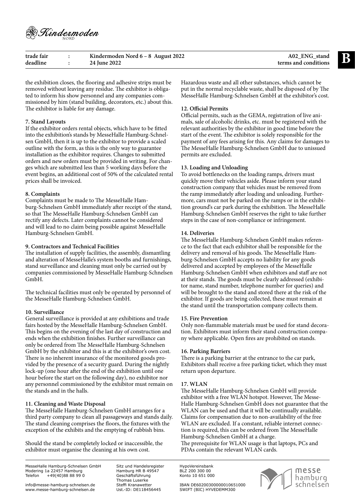

| trade fair | Kindermoden Nord $6 - 8$ August 2022 | A02 ENG stand        |  |
|------------|--------------------------------------|----------------------|--|
| deadline   | 24 June 2022                         | terms and conditions |  |

the exhibition closes, the flooring and adhesive strips must be removed without leaving any residue. The exhibitor is obligated to inform his show personnel and any companies commissioned by him (stand building, decorators, etc.) about this. The exhibitor is liable for any damage.

#### **7. Stand Layouts**

If the exhibitor orders rental objects, which have to be fitted into the exhibition's stands by MesseHalle Hamburg-Schnelsen GmbH, then it is up to the exhibitor to provide a scaled outline with the form, as this is the only way to guarantee installation as the exhibitor requires. Changes to submitted orders and new orders must be provided in writing. For changes which are submitted less than 5 working days before the event begins, an additional cost of 50% of the calculated rental prices shall be invoiced.

#### **8. Complaints**

Complaints must be made to The MesseHalle Hamburg-Schnelsen GmbH immediately after receipt of the stand, so that The MesseHalle Hamburg-Schnelsen GmbH can rectify any defects. Later complaints cannot be considered and will lead to no claim being possible against MesseHalle Hamburg-Schnelsen GmbH.

#### **9. Contractors and Technical Facilities**

The installation of supply facilities, the assembly, dismantling and alteration of MesseHalle's system booths and furnishings, stand surveillance and cleaning must only be carried out by companies commissioned by MesseHalle Hamburg-Schnelsen GmbH.

The technical facilities must only be operated by personnel of the MesseHalle Hamburg-Schnelsen GmbH.

#### **10. Surveillance**

General surveillance is provided at any exhibitions and trade fairs hosted by the MesseHalle Hamburg-Schnelsen GmbH. This begins on the evening of the last day of construction and ends when the exhibition finishes. Further surveillance can only be ordered from The MesseHalle Hamburg-Schnelsen GmbH by the exhibitor and this is at the exhibitor's own cost. There is no inherent insurance of the monitored goods provided by the presence of a security guard. During the nightly lock-up (one hour after the end of the exhibition until one hour before the start on the following day), no exhibitor nor any personnel commissioned by the exhibitor must remain on the stands and in the halls.

#### **11. Cleaning and Waste Disposal**

The MesseHalle Hamburg-Schnelsen GmbH arranges for a third party company to clean all passageways and stands daily. The stand cleaning comprises the floors, the fixtures with the exception of the exhibits and the emptying of rubbish bins.

Should the stand be completely locked or inaccessible, the exhibitor must organise the cleaning at his own cost.

MesseHalle Hamburg-Schnelsen GmbH Modering 1a 22457 Hamburg Telefon +49(40)88 88 99 0

Sitz und Handelsregister Hamburg HR B 49547 Geschäftsführung Thomas Luserke Steffi Kranawetter Ust.-ID: DE118456445

Hazardous waste and all other substances, which cannot be put in the normal recyclable waste, shall be disposed of by The MesseHalle Hamburg-Schnelsen GmbH at the exhibitor's cost.

#### **12. Official Permits**

Official permits, such as the GEMA, registration of live animals, sale of alcoholic drinks, etc. must be registered with the relevant authorities by the exhibitor in good time before the start of the event. The exhibitor is solely responsible for the payment of any fees arising for this. Any claims for damages to The MesseHalle Hamburg-Schnelsen GmbH due to unissued permits are excluded.

#### **13. Loading and Unloading**

To avoid bottlenecks on the loading ramps, drivers must quickly move their vehicles aside. Please inform your stand construction company that vehicles must be removed from the ramp immediately after loading and unloading. Furthermore, cars must not be parked on the ramps or in the exhibition ground's car park during the exhibition. The MesseHalle Hamburg-Schnelsen GmbH reserves the right to take further steps in the case of non-compliance or infringement.

#### **14. Deliveries**

The MesseHalle Hamburg-Schnelsen GmbH makes reference to the fact that each exhibitor shall be responsible for the delivery and removal of his goods. The MesseHalle Hamburg-Schnelsen GmbH accepts no liability for any goods delivered and accepted by employees of the MesseHalle Hamburg-Schnelsen GmbH when exhibitors and staff are not at their stands. The goods must be clearly addressed (exhibitor name, stand number, telephone number for queries) and will be brought to the stand and stored there at the risk of the exhibitor. If goods are being collected, these must remain at the stand until the transportation company collects them.

#### **15. Fire Prevention**

Only non-flammable materials must be used for stand decoration. Exhibitors must inform their stand construction company where applicable. Open fires are prohibited on stands.

#### **16. Parking Barriers**

There is a parking barrier at the entrance to the car park, Exhibitors shall receive a free parking ticket, which they must return upon departure.

#### **17. WLAN**

The MesseHalle Hamburg-Schnelsen GmbH will provide exhibitor with a free WLAN hotspot. However, The Messe-Halle Hamburg-Schnelsen GmbH does not guarantee that the WLAN can be used and that it will be continually available. Claims for compensation due to non-availability of the free WLAN are excluded. If a constant, reliable internet connection is required, this can be ordered from The MesseHalle Hamburg-Schnelsen GmbH at a charge.

The prerequisite for WLAN usage is that laptops, PCs and PDAs contain the relevant WLAN cards.

HypoVereinsbank BLZ 200 300 00 Konto 10 651 000



IBAN DE60200300000010651000 SWIFT (BIC) HYVEDEMM300

info@messe-hamburg-schnelsen.de www.messe-hamburg-schnelsen.de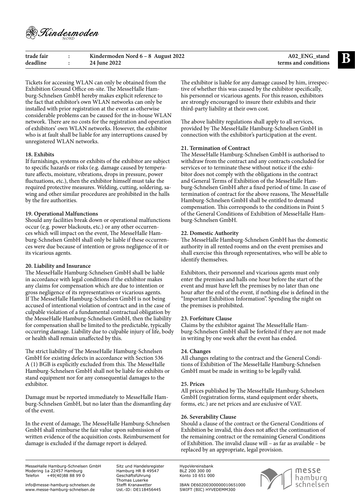

| trade fair | Kindermoden Nord $6 - 8$ August 2022 | A02_ENG_stand        |  |
|------------|--------------------------------------|----------------------|--|
| deadline   | 24 June 2022                         | terms and conditions |  |

Tickets for accessing WLAN can only be obtained from the Exhibition Ground Office on-site. The MesseHalle Hamburg-Schnelsen GmbH hereby makes explicit reference to the fact that exhibitor's own WLAN networks can only be installed with prior registration at the event as otherwise considerable problems can be caused for the in-house WLAN network. There are no costs for the registration and operation of exhibitors' own WLAN networks. However, the exhibitor who is at fault shall be liable for any interruptions caused by unregistered WLAN networks.

#### **18. Exhibits**

If furnishings, systems or exhibits of the exhibitor are subject to specific hazards or risks (e.g. damage caused by temperature affects, moisture, vibrations, drops in pressure, power fluctuations, etc.), then the exhibitor himself must take the required protective measures. Welding, cutting, soldering, sawing and other similar procedures are prohibited in the halls by the fire authorities.

#### **19. Operational Malfunctions**

Should any facilities break down or operational malfunctions occur (e.g. power blackouts, etc.) or any other occurrences which will impact on the event, The MesseHalle Hamburg-Schnelsen GmbH shall only be liable if these occurrences were due because of intention or gross negligence of it or its vicarious agents.

#### **20. Liability and Insurance**

The MesseHalle Hamburg-Schnelsen GmbH shall be liable in accordance with legal conditions if the exhibitor makes any claims for compensation which are due to intention or gross negligence of its representatives or vicarious agents. If The MesseHalle Hamburg-Schnelsen GmbH is not being accused of intentional violation of contract and in the case of culpable violation of a fundamental contractual obligation by the MesseHalle Hamburg-Schnelsen GmbH, then the liability for compensation shall be limited to the predictable, typically occurring damage. Liability due to culpable injury of life, body or health shall remain unaffected by this.

The strict liability of The MesseHalle Hamburg-Schnelsen GmbH for existing defects in accordance with Section 536 A (1) BGB is explicitly excluded from this. The MesseHalle Hamburg-Schnelsen GmbH shall not be liable for exhibits or stand equipment nor for any consequential damages to the exhibitor.

Damage must be reported immediately to MesseHalle Hamburg-Schnelsen GmbH, but no later than the dismantling day of the event.

In the event of damage, The MesseHalle Hamburg-Schnelsen GmbH shall reimburse the fair value upon submission of written evidence of the acquisition costs. Reimbursement for damage is excluded if the damage report is delayed.

The exhibitor is liable for any damage caused by him, irrespective of whether this was caused by the exhibitor specifically, his personnel or vicarious agents. For this reason, exhibitors are strongly encouraged to insure their exhibits and their third-party liability at their own cost.

The above liability regulations shall apply to all services, provided by The MesseHalle Hamburg-Schnelsen GmbH in connection with the exhibitor's participation at the event.

#### **21. Termination of Contract**

The MesseHalle Hamburg-Schnelsen GmbH is authorised to withdraw from the contract and any contracts concluded for services or to terminate these without notice if the exhibitor does not comply with the obligations in the contract and General Terms of Exhibition of the MesseHalle Hamburg-Schnelsen GmbH after a fixed period of time. In case of termination of contract for the above reasons, The MesseHalle Hamburg-Schnelsen GmbH shall be entitled to demand compensation. This corresponds to the conditions in Point 5 of the General Conditions of Exhibition of MesseHalle Hamburg-Schnelsen GmbH.

#### **22. Domestic Authority**

The MesseHalle Hamburg-Schnelsen GmbH has the domestic authority in all rented rooms and on the event premises and shall exercise this through representatives, who will be able to identify themselves.

Exhibitors, their personnel and vicarious agents must only enter the premises and halls one hour before the start of the event and must have left the premises by no later than one hour after the end of the event, if nothing else is defined in the "Important Exhibition Information". Spending the night on the premises is prohibited.

#### **23. Forfeiture Clause**

Claims by the exhibitor against The MesseHalle Hamburg-Schnelsen GmbH shall be forfeited if they are not made in writing by one week after the event has ended.

#### **24. Changes**

All changes relating to the contract and the General Conditions of Exhibition of The MesseHalle Hamburg-Schnelsen GmbH must be made in writing to be legally valid.

#### **25. Prices**

All prices published by The MesseHalle Hamburg-Schnelsen GmbH (registration forms, stand equipment order sheets, forms, etc.) are net prices and are exclusive of VAT.

#### **26. Severability Clause**

Should a clause of the contract or the General Conditions of Exhibition be invalid, this does not affect the continuation of the remaining contract or the remaining General Conditions of Exhibition. The invalid clause will – as far as available – be replaced by an appropriate, legal provision.

MesseHalle Hamburg-Schnelsen GmbH Modering 1a 22457 Hamburg Telefon +49(40)88 88 99 0

Sitz und Handelsregister Hamburg HR B 49547 Geschäftsführung Thomas Luserke Steffi Kranawetter Ust.-ID: DE118456445

HypoVereinsbank BLZ 200 300 00 Konto 10 651 000



IBAN DE60200300000010651000 SWIFT (BIC) HYVEDEMM300